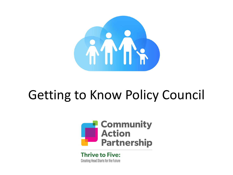

## Getting to Know Policy Council



**Thrive to Five: Creating Head Starts for the Future**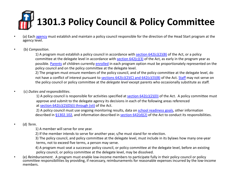# **[1301.3 Policy](https://eclkc.ohs.acf.hhs.gov/policy/head-start-act/sec-642-powers-functions-head-start-agencies) Council & [Policy Co](https://eclkc.ohs.acf.hhs.gov/policy/45-cfr-chap-xiii/_link)mmitting**

- (a) Each agency mus[t establish a](https://eclkc.ohs.acf.hhs.gov/policy/45-cfr-chap-xiii/1302-102-achieving-program-goals)nd maintain a policy council r[esponsible for the](https://eclkc.ohs.acf.hhs.gov/policy/head-start-act/sec-642-powers-functions-head-start-agencies) direction of the Head Start prog agency level.
- (b) *Composition*.

1) A program must establish a policy council in accordance with section  $642(c)(2)(B)$  of the Act, or a policy committee at the delegate level in accordance with section  $642(c)(3)$  of the Act, as early in the program possible. Parents of children currently enrolled in each program option must be proportionately represe policy council and on the policy committee at the delegate level.

2) The program must ensure members of the policy council, and of the policy committee at the delegate not have a conflict of interest pursuant to sections 642(c)(2)(C) and 642(c)(3)(B) of the Act. Staff may no the policy council or policy committee at the *delegate level* except parents who occasionally substitute as

• (c) *Duties and responsibilities*.

1) A policy council is responsible for activities specified at  $\frac{\text{section }642(c)(2)(D)}{\text{of}}$  of the Act. A policy com approve and submit to the delegate agency its decisions in each of the following areas referenced at section  $642(c)(2)(D)(i)$  through (vii) of the Act.

2) A policy council must use ongoing monitoring results, data on school readiness goals, other informat described in  $$1302.102$ , and information described in section  $642(d)(2)$  of the Act to conduct its respon

- (d) *Term*.
	- 1) A member will serve for one year.
	- 2) If the member intends to serve for another year, s/he must stand for re-election.

3) The policy council, and policy committee at the delegate level, must include in its bylaws how many on terms, not to exceed five terms, a person may serve.

4) A program must seat a successor policy council, or policy committee at the delegate level, before an policy council, or policy committee at the delegate level, may be dissolved.

(e) Reimbursement. A program must enable low-income members to participate fully in their policy council or policy committee responsibilities by providing, if necessary, reimbursements for reasonable expenses incurred by the members.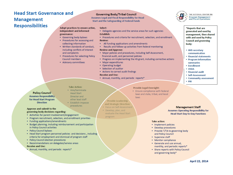### **Head Start Governance and Management Responsibilities**

### **Governing Body/Tribal Council**

Assumes Legal and Fiscal Responsibility for Head **Start and the Safeguarding of Federal Funds** 

### Adopt practices to ensure active, Select:

- Delegate agencies and the service areas for such agencies Establish:
- Procedures and criteria for recruitment, selection, and enrollment **Review:**
- All funding applications and amendments
- . Results and follow-up activities from federal monitoring

### **Review and Approve:**

- Major policies and procedures, including Self-Assessment, financial audit, and personnel policies
- Progress on implementing the HS grant, including corrective actions
- Major expenditures
- Operating budget
- Selection of auditor
- Actions to correct audit findings

### **Receive and Use:**

• Annual, monthly, and periodic reports\*

### **Provide Legal Oversight:**

- · Ensure compliance with federal laws and state, tribal, and local
- 
- 
- 
- 
- evaluate the Head Start program

**Management Staff Assumes Operating Responsibility for Head Start Day-to-Day Functions** 

### **Take action:**

- Implement policies
- Develop procedures
- Provide T/TA to governing body and Policy Council
- Supervise staff
- Monitor compliance
- Generate and use annual,
- monthly, and periodic reports\*
- Share reports with Policy Council and governing body\*

### **Head Start**

independent and informed

• Governing body bylaws

collecting information

and complaints

**Council members** 

• Advisory committees

• Procedures for accessing and

• Written standards of conduct, including conflicts of interest

• Procedures for selecting Policy

governance:

- Director and
- Establish impasse

### Approve and submit to the governing body decisions regarding:

**Policy Council** 

**Assumes Responsibility** 

for Head Start Program

**Direction** 

- Activities for parent involvement/engagement
- Program recruitment, selection, and enrollment priorities
- Funding applications/amendments
- Budget planning, including reimbursement and participation in Policy Council activities
- Policy Council bylaws
- Head Start program personnel policies and decisions, including criteria for employment and dismissal of program staff
- Policy Council election procedures
- Recommendations on delegates/service areas
- 
- . Annual, monthly, and periodic reports\*

- 
- -
	-
	-
- **Receive and Use:**
- 

procedures

**Take Action:** • Hire/terminate

- other lead staff
- 



laws



- Provide Leadership
- and Strategic Direction:
- · Focus on Self-Assessment
- Develop, plan, and

April 22, 2014

THE NATIONAL CENTER ON Program Management and Fiscal Operations

\*Reports that are generated and used by management, then shared with and used by Policy **Council and governing** body:

- HHS secretary communication
- Financial statements
- Program information summaries
- Enrollment
- USDA
- Financial audit
- Self-Assessment
- Community assessment
- $\cdot$  PIR

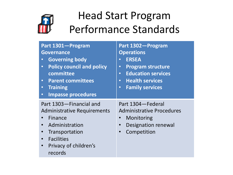

### Head Start Program Performance Standards

| Part 1301-Program<br><b>Governance</b><br><b>Governing body</b><br>$\bullet$<br><b>Policy council and policy</b><br>$\bullet$<br>committee<br><b>Parent committees</b><br>$\bullet$ .<br><b>Training</b><br>$\bullet$<br><b>Impasse procedures</b><br>$\bullet$ | Part 1302-Program<br><b>Operations</b><br><b>ERSEA</b><br>$\bullet$<br><b>Program structure</b><br>$\bullet$<br><b>Education services</b><br>$\bullet$<br><b>Health services</b><br>$\bullet$<br><b>Family services</b><br>$\bullet$ |
|-----------------------------------------------------------------------------------------------------------------------------------------------------------------------------------------------------------------------------------------------------------------|--------------------------------------------------------------------------------------------------------------------------------------------------------------------------------------------------------------------------------------|
| Part 1303-Financial and<br><b>Administrative Requirements</b><br>Finance<br>Administration<br>Transportation<br>$\bullet$<br><b>Facilities</b><br>$\bullet$<br>Privacy of children's<br>$\bullet$<br>records                                                    | Part 1304 – Federal<br><b>Administrative Procedures</b><br>Monitoring<br><b>Designation renewal</b><br>Competition                                                                                                                   |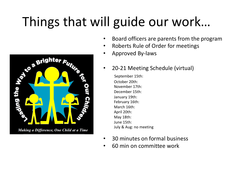# Things that will guide our work…



- Board officers are parents from the program
- Roberts Rule of Order for meetings
- Approved By-laws
- 20-21 Meeting Schedule (virtual)

September 15th: October 20th: November 17th: December 15th: January 19th: February 16th: March 16th: April 20th: May 18th: June 15th: July & Aug: no meeting

- 30 minutes on formal business
- 60 min on committee work